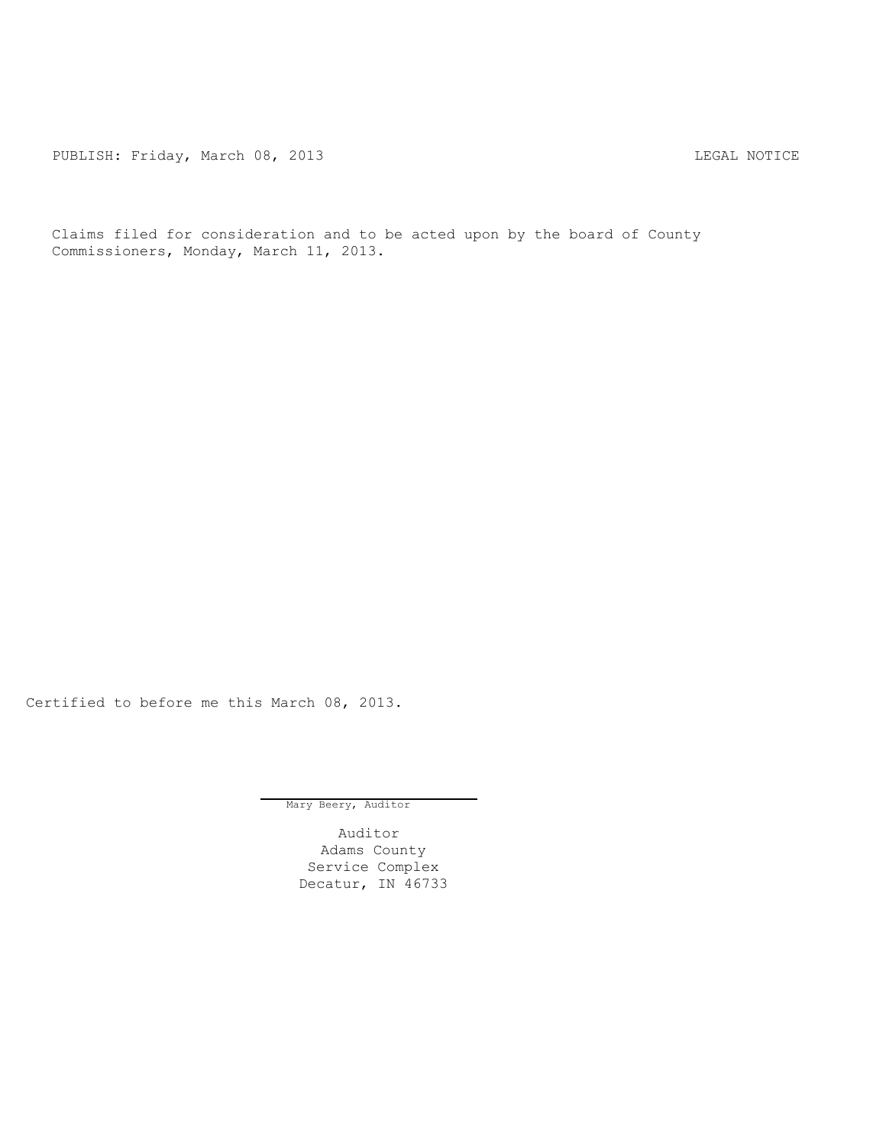PUBLISH: Friday, March 08, 2013 <br>
LEGAL NOTICE

Claims filed for consideration and to be acted upon by the board of County Commissioners, Monday, March 11, 2013.

Certified to before me this March 08, 2013.

Mary Beery, Auditor

Auditor Adams County Service Complex Decatur, IN 46733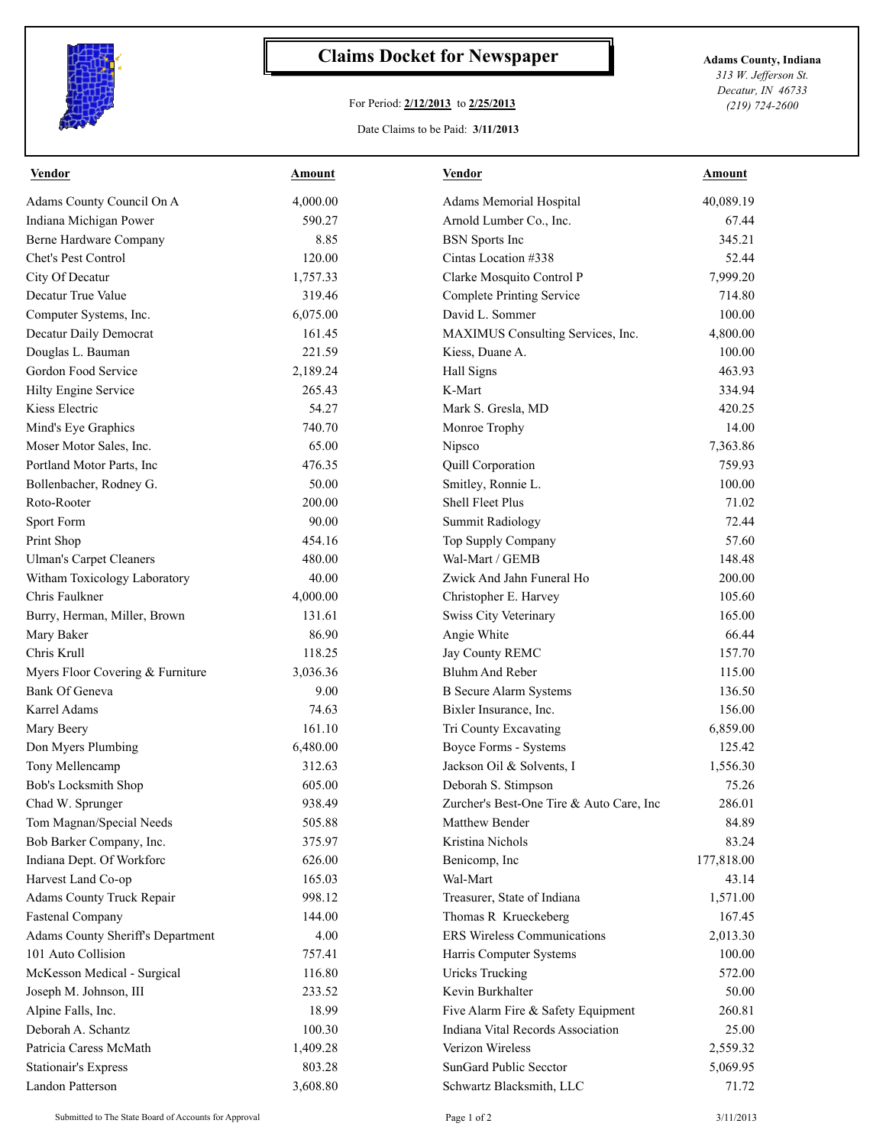

## **Claims Docket for Newspaper Adams County, Indiana**

## For Period: **2/12/2013** to **2/25/2013**

Date Claims to be Paid: **3/11/2013**

*313 W. Jefferson St. Decatur, IN 46733 (219) 724-2600*

| <b>Vendor</b>                     | <b>Amount</b> | <b>Vendor</b>                            | <b>Amount</b> |
|-----------------------------------|---------------|------------------------------------------|---------------|
| Adams County Council On A         | 4,000.00      | Adams Memorial Hospital                  | 40,089.19     |
| Indiana Michigan Power            | 590.27        | Arnold Lumber Co., Inc.                  | 67.44         |
| Berne Hardware Company            | 8.85          | <b>BSN</b> Sports Inc                    | 345.21        |
| Chet's Pest Control               | 120.00        | Cintas Location #338                     | 52.44         |
| City Of Decatur                   | 1,757.33      | Clarke Mosquito Control P                | 7,999.20      |
| Decatur True Value                | 319.46        | Complete Printing Service                | 714.80        |
| Computer Systems, Inc.            | 6,075.00      | David L. Sommer                          | 100.00        |
| Decatur Daily Democrat            | 161.45        | MAXIMUS Consulting Services, Inc.        | 4,800.00      |
| Douglas L. Bauman                 | 221.59        | Kiess, Duane A.                          | 100.00        |
| Gordon Food Service               | 2,189.24      | Hall Signs                               | 463.93        |
| Hilty Engine Service              | 265.43        | K-Mart                                   | 334.94        |
| Kiess Electric                    | 54.27         | Mark S. Gresla, MD                       | 420.25        |
| Mind's Eye Graphics               | 740.70        | Monroe Trophy                            | 14.00         |
| Moser Motor Sales, Inc.           | 65.00         | Nipsco                                   | 7,363.86      |
| Portland Motor Parts, Inc.        | 476.35        | Quill Corporation                        | 759.93        |
| Bollenbacher, Rodney G.           | 50.00         | Smitley, Ronnie L.                       | 100.00        |
| Roto-Rooter                       | 200.00        | <b>Shell Fleet Plus</b>                  | 71.02         |
| Sport Form                        | 90.00         | <b>Summit Radiology</b>                  | 72.44         |
| Print Shop                        | 454.16        | Top Supply Company                       | 57.60         |
| <b>Ulman's Carpet Cleaners</b>    | 480.00        | Wal-Mart / GEMB                          | 148.48        |
| Witham Toxicology Laboratory      | 40.00         | Zwick And Jahn Funeral Ho                | 200.00        |
| Chris Faulkner                    | 4,000.00      | Christopher E. Harvey                    | 105.60        |
| Burry, Herman, Miller, Brown      | 131.61        | Swiss City Veterinary                    | 165.00        |
| Mary Baker                        | 86.90         | Angie White                              | 66.44         |
| Chris Krull                       | 118.25        | Jay County REMC                          | 157.70        |
| Myers Floor Covering & Furniture  | 3,036.36      | <b>Bluhm And Reber</b>                   | 115.00        |
| Bank Of Geneva                    | 9.00          | <b>B</b> Secure Alarm Systems            | 136.50        |
| Karrel Adams                      | 74.63         | Bixler Insurance, Inc.                   | 156.00        |
| Mary Beery                        | 161.10        | Tri County Excavating                    | 6,859.00      |
| Don Myers Plumbing                | 6,480.00      | Boyce Forms - Systems                    | 125.42        |
| Tony Mellencamp                   | 312.63        | Jackson Oil & Solvents, I                | 1,556.30      |
| Bob's Locksmith Shop              | 605.00        | Deborah S. Stimpson                      | 75.26         |
| Chad W. Sprunger                  | 938.49        | Zurcher's Best-One Tire & Auto Care, Inc | 286.01        |
| Tom Magnan/Special Needs          | 505.88        | Matthew Bender                           | 84.89         |
| Bob Barker Company, Inc.          | 375.97        | Kristina Nichols                         | 83.24         |
| Indiana Dept. Of Workforc         | 626.00        | Benicomp, Inc.                           | 177,818.00    |
| Harvest Land Co-op                | 165.03        | Wal-Mart                                 | 43.14         |
| Adams County Truck Repair         | 998.12        | Treasurer, State of Indiana              | 1,571.00      |
| <b>Fastenal Company</b>           | 144.00        | Thomas R Krueckeberg                     | 167.45        |
| Adams County Sheriff's Department | 4.00          | <b>ERS Wireless Communications</b>       | 2,013.30      |
| 101 Auto Collision                | 757.41        | Harris Computer Systems                  | 100.00        |
| McKesson Medical - Surgical       | 116.80        | <b>Uricks Trucking</b>                   | 572.00        |
| Joseph M. Johnson, III            | 233.52        | Kevin Burkhalter                         | 50.00         |
| Alpine Falls, Inc.                | 18.99         | Five Alarm Fire & Safety Equipment       | 260.81        |
| Deborah A. Schantz                | 100.30        | Indiana Vital Records Association        | 25.00         |
| Patricia Caress McMath            | 1,409.28      | Verizon Wireless                         | 2,559.32      |
| <b>Stationair's Express</b>       | 803.28        | SunGard Public Secctor                   | 5,069.95      |
| Landon Patterson                  | 3,608.80      | Schwartz Blacksmith, LLC                 | 71.72         |